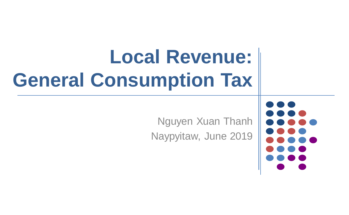# **Local Revenue: General Consumption Tax**

Nguyen Xuan Thanh Naypyitaw, June 2019

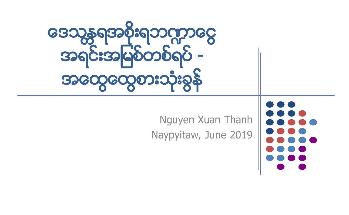

#### Nguyen Xuan Thanh Naypyitaw, June 2019

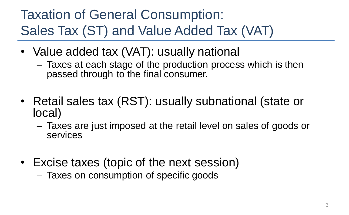#### Taxation of General Consumption: Sales Tax (ST) and Value Added Tax (VAT)

- Value added tax (VAT): usually national
	- Taxes at each stage of the production process which is then passed through to the final consumer.
- Retail sales tax (RST): usually subnational (state or local)
	- Taxes are just imposed at the retail level on sales of goods or services
- Excise taxes (topic of the next session)
	- Taxes on consumption of specific goods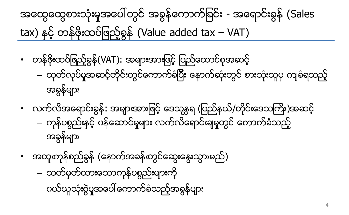### အထွေထွေစားသုံးမှုအပေါ် တွင် အခွန်ကောက်ခြင်း - အရောင်းခွန် (Sales  $\text{tax}$ ) နှင့် တန်ဖိုးထပ်ဖြည့်ခွန် (Value added tax – VAT)

- တန်ဖိုးထပ်ဖြည့်ခွန်(VAT): အများအားဖြင့် ပြည်ထောင်စုအဆင့်
	- ထုတ်လုပ်မှုအဆင့်တိုင်းတွင်ကောက်ခံပြီး နောက်ဆုံးတွင် စားသုံးသူမှ ကျခံရသည့် အခြန္မ်ား
- လက်လီအရောင်းခွန်: အများအားဖြင့် ဒေသန္တရ (ပြည်နယ်/တိုင်းဒေသကြီး)အဆင့် – ကုန်ပစ္စည်းနှင့် ပန်ဆောင်မှုများ လက်လီရောင်းချမှုတွင် ကောက်ခံသည့် အခွန်များ
- အထူးကုန္စည္ခြန္(ေနာက္အခန္းတြင္ေဆြးေႏြးသြားမည္) – သတ်မှတ်ထားသောကုန်ပစ္စည်းများကို ပယ်ယူသုံးစွဲမှုအပေါ် ကောက်ခံသည့်အခွန်များ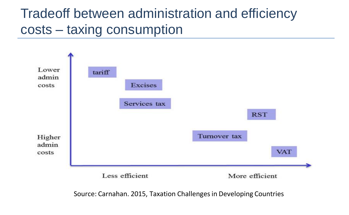#### Tradeoff between administration and efficiency costs – taxing consumption



Source: Carnahan. 2015, Taxation Challenges in Developing Countries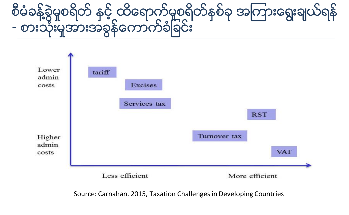### စီမံခန့်ခွဲမှုစရိတ် နှင့္ ထိေရာက္ခဲမူစရိတ်နစ်ခု အကြားေရးချယ်ရန် - စားသုံးမှုအားအခွန်ကောက်ခံခြင်း



Source: Carnahan. 2015, Taxation Challenges in Developing Countries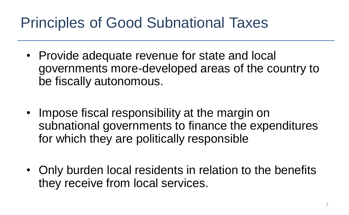### Principles of Good Subnational Taxes

- Provide adequate revenue for state and local governments more-developed areas of the country to be fiscally autonomous.
- Impose fiscal responsibility at the margin on subnational governments to finance the expenditures for which they are politically responsible
- Only burden local residents in relation to the benefits they receive from local services.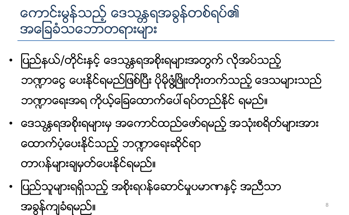## ကောင်းမွန်သည့် ဒေသန္တရအခွန်တစ်ရပ်၏ အေျခခံသေဘာတရားမ်ား

- ပြည်နယ်/တိုင်းနင့် ဒေသန္တရအစိုးရများအတွက် လိုအပ်သည့် ဘဏ္ကာငွေ ပေးနိုင်ရမည်ဖြစ်ပြီး ပိုမိုဖွံ့ဖြိုးတိုးတက်သည့် ဒေသများသည် ဘက္ကာေရးအရ ကိုယ့်ခြေထောက်ပေါ် ရပ်တည်နိုင် ရမည်။ • ဒေသန္တရအစိုးရများမှ အကောင်ထည်ဖော်ရမည့် အသုံးစရိတ်များအား ထောက်ပံ့ပေးနိင်သည့် ဘဏ္ဍာရေးဆိုင်ရာ တာဂန်များချမှတ်ပေးနိုင်ရမည်။
- ပြည်သူများရရှိသည့် အစိုးရပန်ဆောင်မှုပမာဏနှင့် အညီသာ အခြန္က်ခံရမည္။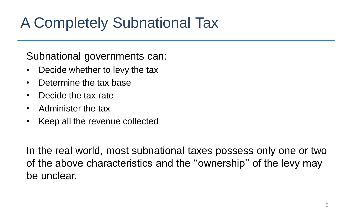### A Completely Subnational Tax

#### Subnational governments can:

- Decide whether to levy the tax
- Determine the tax base
- Decide the tax rate
- Administer the tax
- Keep all the revenue collected

In the real world, most subnational taxes possess only one or two of the above characteristics and the ''ownership'' of the levy may be unclear.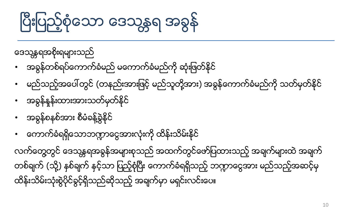# ပြီးပြည့်စုံသော ဒေသန္တရ အခွနဲ

ဒေသန္တရအစိုးရများသည်

- အခွန်တစ်ရပ်ကောက်ခံမည် မကောက်ခံမည်ကို ဆုံးဖြတ်နိုင်
- မည်သည့်အပေါ် တွင် (တနည်းအားဖြင့် မည်သူတို့အား) အခွန်ကောက်ခံမည်ကို သတ်မှတ်နိုင်
- အခြန္ႏႈန္းထားအားသတ္မွတ္ႏုိင္
- အခွန်စနစ်အား စီမံခန့်ခွဲနိုင်
- ေကာက္ခံရရွိေသာဘ႑ာေငြအားလုံးကိုထိန္းသိမ္းႏိုင္

လက်တွေတွင် ဒေသန္တရအခွန်အများစုသည် အထက်တွင်ဖော်ပြထားသည့် အချက်များထဲ အချက် တစ်ချက် (သို့) နစ်ချက် နှင့်သာ ပြည့်စုံပြီး ကောက်ခံရရှိသည့် ဘက္ဂာငွေအား မည်သည့်အဆင့်မှ ထိန်းသိမ်းသုံးစွဲပိုင်ခွင့်ရှိသည်ဆိုသည့် အချက်မှာ မရှင်းလင်းပေ။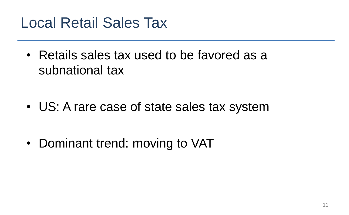### Local Retail Sales Tax

• Retails sales tax used to be favored as a subnational tax

• US: A rare case of state sales tax system

• Dominant trend: moving to VAT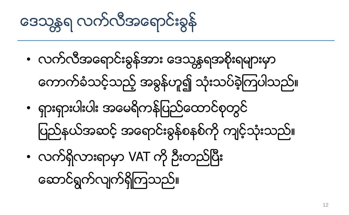ဒေသန္တရ လက်လီအရောင်းခွန်

- လက်လီအရောင်းခွန်အား ဒေသန္တရအစိုးရများမှာ ေကာက္ခံသင့္သည့္အခြန္ဟူ၍ သုံးသပ္ခဲ့ၾကပါသည္။
- ရွားရွားပါးပါး အေမရိကန္ျပည္ေထာင္စုတြင္ ပြည်နယ်အဆင့် အရောင်းခွန်စနစ်ကို ကျင့်သုံးသည်။
- လက်ရှိလားရာမှာ VAT ကို ဦးတည်ပြီး

ေဆာင္ရြက္လ်က္ရွိၾကသည္။

12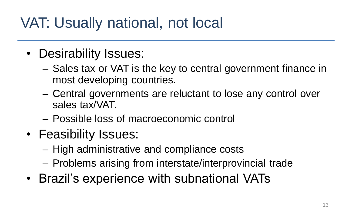### VAT: Usually national, not local

- Desirability Issues:
	- Sales tax or VAT is the key to central government finance in most developing countries.
	- Central governments are reluctant to lose any control over sales tax/VAT.
	- Possible loss of macroeconomic control
- Feasibility Issues:
	- High administrative and compliance costs
	- Problems arising from interstate/interprovincial trade
- Brazil's experience with subnational VATs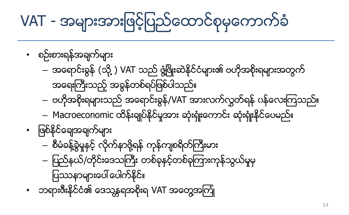- စီမံခန့်ခွဲမှုနှင့် လိုက်နာဖို့ရန် ကုန်ကျစရိတ်ကြီးမား – ပြည်နယ်/တိုင်းဒေသကြီး တစ်ခုနင့်တစ်ခုကြားကုန်သွယ်မှုမှ ပြဿနာများပေါ် ပေါက်နိုင်။
- ဖြစ်နိုင်ချေအချက်များ
- Macroeconomic ထိန်းချုပ်နိုင်မှုအား ဆုံးရုံးကောင်း ဆုံးရုံးနိုင်ပေမည်။
- အရေးကြီးသည့် အခွန်တစ်ရပ်ဖြစ်ပါသည်။ – ဗဟိုအစိုးရများသည် အရောင်းခွန်/VAT အားလက်လွတ်ရန် ပန်လေးကြသည်။
- အရောင်းခွန် (သို့ ) VAT သည် ဖွံ့ဖြိုးဆဲနိုင်ငံများ၏ ဗဟိုအစိုးရများအတွက်
- စဥ္းစားရန္အခ်က္မ်ား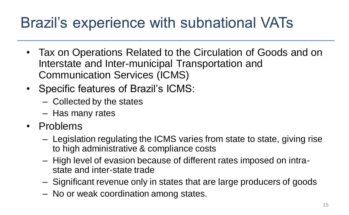### Brazil's experience with subnational VATs

- Tax on Operations Related to the Circulation of Goods and on Interstate and Inter-municipal Transportation and Communication Services (ICMS)
- Specific features of Brazil's ICMS:
	- Collected by the states
	- Has many rates
- Problems
	- Legislation regulating the ICMS varies from state to state, giving rise to high administrative & compliance costs
	- High level of evasion because of different rates imposed on intrastate and inter-state trade
	- Significant revenue only in states that are large producers of goods
	- No or weak coordination among states.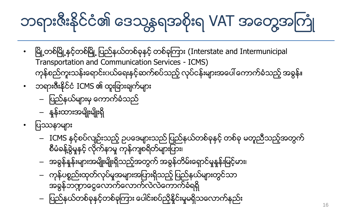# ဘရားဇီးနိုင်ငံ၏ ဒေသန္တရအစိုးရ VAT အတွေ့အကြုံ

- ၿမိဳ႕တစ္ၿမိဳ႕ႏွင့္တစ္ၿမိဳ႕ ျပည္နယ္တစ္ခုႏွင့္တစ္ခုၾကား (Interstate and Intermunicipal Transportation and Communication Services - ICMS) ကုန်စည်ကူးသန်းရောင်းပယ်ရေးနင့်ဆက်စပ်သည့် လုပ်ငန်းများအပေါ် ကောက်ခံသည့် အခွန်။
- ဘရားဇီးနိုင်ငံ ICMS ၏ ထူးခြားချက်များ
	- ျပည္နယ္မ်ားမွေကာက္ခံသည္
	- ႏႈန္းထားအမ်ိဳးမ်ိဳးရွိ
- ပြဿနာများ
	- ICMS နှင့်စပ်လျဉ်းသည့် ဥပဒေများသည် ပြည်နယ်တစ်ခုနှင့် တစ်ခု မတူညီသည့်အတွက် စီမံခန့်ခွဲမှုနှင့် လိုက်နာမှု ကုန်ကျစရိတ်များပြား၊
	- အခွန်နူန်းများအမျိုးမျိုးရှိသည့်အတွက် အခွန်တိမ်းရှောင်မှုနှန်းမြင့်မား၊
	-
	- ကုန်ပစ္စည်းထုတ်လုပ်မှုအများအပြားရှိသည့် ပြည်နယ်များတွင်သာ

16

အခွန်ဘဏ္ဍာငွေလောက်လောက်လဲလဲတောက်ခံရရှိ – ျပည္နယ္တစ္ခုႏွင့္တစ္ခုၾကား ေပါင္းစပ္ညွိႏႈိင္းမႈမရွိသေလာက္နည္း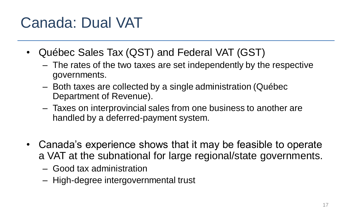### Canada: Dual VAT

- Québec Sales Tax (QST) and Federal VAT (GST)
	- The rates of the two taxes are set independently by the respective governments.
	- Both taxes are collected by a single administration (Québec Department of Revenue).
	- Taxes on interprovincial sales from one business to another are handled by a deferred-payment system.
- Canada's experience shows that it may be feasible to operate a VAT at the subnational for large regional/state governments.
	- Good tax administration
	- High-degree intergovernmental trust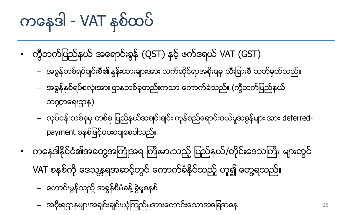# ကနေဒါ - VAT နစ်ထပ်

- ကွီဘက်ပြည်နယ် အရောင်းခွန် (QST) နှင့် ဖက်ဒရယ် VAT (GST)
	- အခွန်တစ်ရပ်ချင်းစီ၏ နန်းထားများအား သက်ဆိုင်ရာအစိုးရမှ သီးခြားစီ သတ်မှတ်သည်။
	- အခွန်နစ်ရပ်စလုံးအား ဌာနတစ်ခုတည်းကသာ ကောက်ခံသည်။ (ကွီဘက်ပြည်နယ် ဘဏ္ဍာရေးဌာန)
	- လုပ်ငန်းတစ်ခုမှ တစ်ခု ပြည်နယ်အချင်းချင်း ကုန်စည်ရောင်းပယ်မှုအခွန်များ အား deferredpayment စနစ်ဖြင့်ပေးချေစေပါသည်။
- ကနေဒါနိုင်ငံ၏အတွေ့အကြုံအရ ကြီးမားသည့် ပြည်နယ်/တိုင်းဒေသကြီး များတွင် VAT စနစ်ကို ဒေသန္တရအဆင့်တွင် ကောက်ခံနိုင်သည့် ဟူ၍ တွေ့ရသည်။
	- တောင်းမွန်သည့် အခွန်စီမံခန့် ခွဲမှုစနစ်
	- အစိုးရဌာနများအချင်းချင်းယုံကြည်မှုအားကောင်းသောအခြေအနေ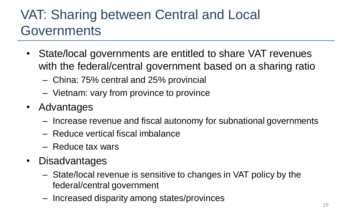### VAT: Sharing between Central and Local **Governments**

- State/local governments are entitled to share VAT revenues with the federal/central government based on a sharing ratio
	- China: 75% central and 25% provincial
	- Vietnam: vary from province to province
- Advantages
	- Increase revenue and fiscal autonomy for subnational governments
	- Reduce vertical fiscal imbalance
	- Reduce tax wars
- Disadvantages
	- State/local revenue is sensitive to changes in VAT policy by the federal/central government
	- Increased disparity among states/provinces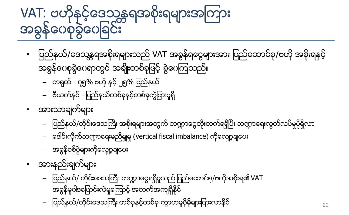# VAT: ဗဟိုနှင့်ဒေသန္တရအစိုးရများအကြား အခွန်ကေစုခွဲကေဆြင်း

- ပြည်နယ်/ဒေသန္တရအစိုးရများသည် VAT အခွန်ရငွေများအား ပြည်ထောင်စု/ဗဟို အစိုးရနင့် အခွန်ဂေစုခွဲဂေရာတွင် အချိုးတစ်ခုဖြင့် ခွဲဂေကြသည်။
	- တရုတ္- ၇၅% ဗဟုိႏွင့္၂၅% ျပည္နယ္
	- ဗီယက္နမ္- ျပည္နယ္တစ္ခုႏွင့္တစ္ခုကြဲျပားမႈရွိ
- အားသာချက်များ
	- ပြည်နယ်/တိုင်းဒေသကြီး အစိုးရများအတွက် ဘဏ္ဍာငွေတိုးတက်ရရှိပြီး ဘဏ္ဍာရေးလွတ်လပ်မှုပိုရှိလာ
	- ဒေါင်းလိုက်ဘက္ကာရေးမညီမျှမှု (vertical fiscal imbalance) ကိုလျော့ချပေး
	- အခွန်စစ်ပွဲများကိုလျော့ချပေး
	-
	-
	- -
	- အားနည္းခ်က္မ်ား
- 

 $20$ 

အခွန်မူဂါဒပြောင်းလဲမှုကြောင့် အတက်အကျရှိနိုင် ပြည်နယ်/တိုင်းဒေသကြီး တစ်ခုနှင့်တစ်ခု ကွာဟမူပိုမိုများပြားလာနိုင်

– ပြည်နယ်/ တိုင်းဒေသကြီး ဘဏ္ဍာငွေရရှိမှုသည်ပြည်ထောင်စု/ဗဟိုအစိုးရ၏ VAT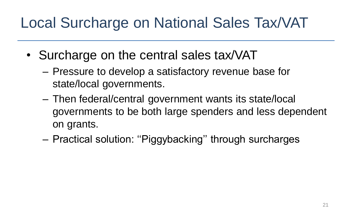### Local Surcharge on National Sales Tax/VAT

- Surcharge on the central sales tax/VAT
	- Pressure to develop a satisfactory revenue base for state/local governments.
	- Then federal/central government wants its state/local governments to be both large spenders and less dependent on grants.
	- Practical solution: ''Piggybacking'' through surcharges